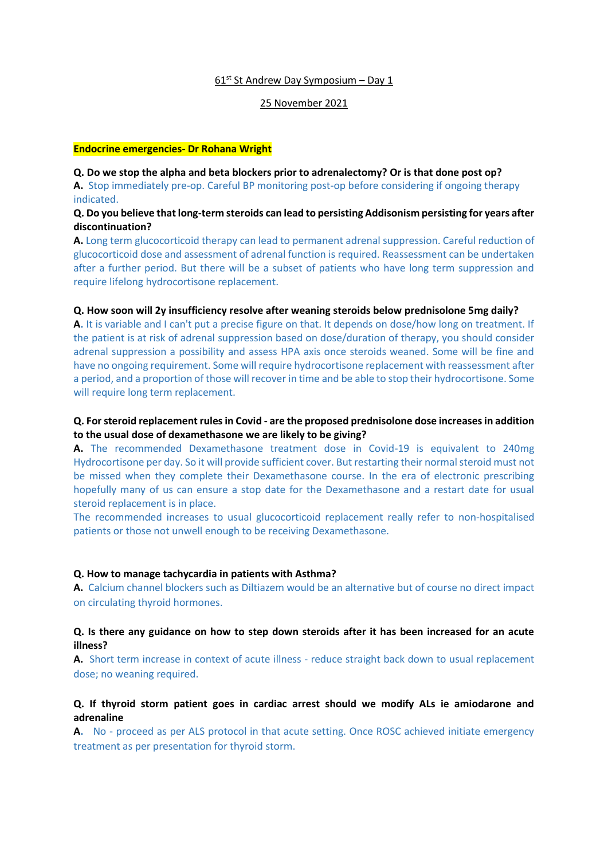# $61<sup>st</sup>$  St Andrew Day Symposium – Day 1

### 25 November 2021

#### **Endocrine emergencies- Dr Rohana Wright**

# **Q. Do we stop the alpha and beta blockers prior to adrenalectomy? Or is that done post op?**

**A.** Stop immediately pre-op. Careful BP monitoring post-op before considering if ongoing therapy indicated.

# **Q. Do you believe that long-term steroids can lead to persisting Addisonism persisting for years after discontinuation?**

**A.** Long term glucocorticoid therapy can lead to permanent adrenal suppression. Careful reduction of glucocorticoid dose and assessment of adrenal function is required. Reassessment can be undertaken after a further period. But there will be a subset of patients who have long term suppression and require lifelong hydrocortisone replacement.

### **Q. How soon will 2y insufficiency resolve after weaning steroids below prednisolone 5mg daily?**

**A.** It is variable and I can't put a precise figure on that. It depends on dose/how long on treatment. If the patient is at risk of adrenal suppression based on dose/duration of therapy, you should consider adrenal suppression a possibility and assess HPA axis once steroids weaned. Some will be fine and have no ongoing requirement. Some will require hydrocortisone replacement with reassessment after a period, and a proportion of those will recover in time and be able to stop their hydrocortisone. Some will require long term replacement.

# **Q. For steroid replacement rules in Covid - are the proposed prednisolone dose increases in addition to the usual dose of dexamethasone we are likely to be giving?**

**A.** The recommended Dexamethasone treatment dose in Covid-19 is equivalent to 240mg Hydrocortisone per day. So it will provide sufficient cover. But restarting their normal steroid must not be missed when they complete their Dexamethasone course. In the era of electronic prescribing hopefully many of us can ensure a stop date for the Dexamethasone and a restart date for usual steroid replacement is in place.

The recommended increases to usual glucocorticoid replacement really refer to non-hospitalised patients or those not unwell enough to be receiving Dexamethasone.

### **Q. How to manage tachycardia in patients with Asthma?**

**A.** Calcium channel blockers such as Diltiazem would be an alternative but of course no direct impact on circulating thyroid hormones.

# **Q. Is there any guidance on how to step down steroids after it has been increased for an acute illness?**

**A.** Short term increase in context of acute illness - reduce straight back down to usual replacement dose; no weaning required.

# **Q. If thyroid storm patient goes in cardiac arrest should we modify ALs ie amiodarone and adrenaline**

**A.** No - proceed as per ALS protocol in that acute setting. Once ROSC achieved initiate emergency treatment as per presentation for thyroid storm.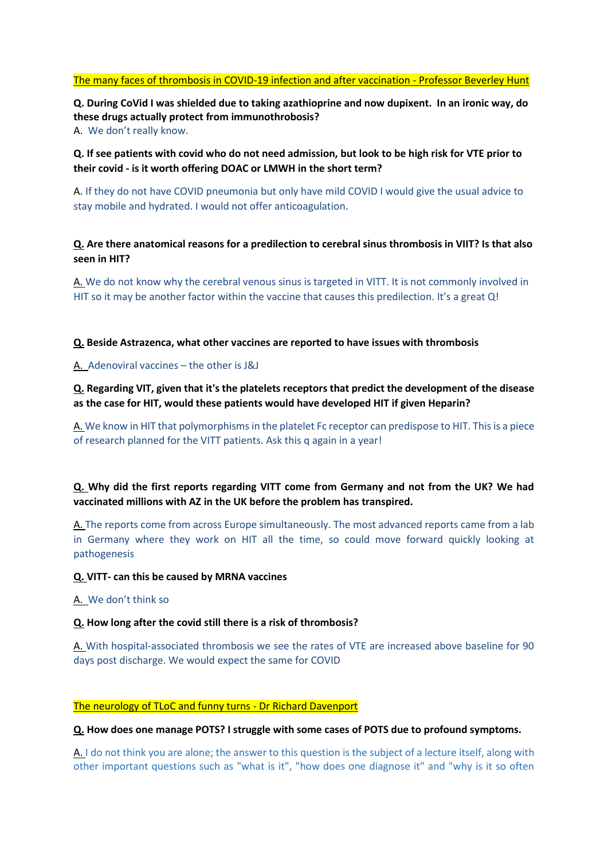# The many faces of thrombosis in COVID-19 infection and after vaccination - Professor Beverley Hunt

**Q. During CoVid I was shielded due to taking azathioprine and now dupixent. In an ironic way, do these drugs actually protect from immunothrobosis?** A. We don't really know.

**Q. If see patients with covid who do not need admission, but look to be high risk for VTE prior to their covid - is it worth offering DOAC or LMWH in the short term?**

A. If they do not have COVID pneumonia but only have mild COVID I would give the usual advice to stay mobile and hydrated. I would not offer anticoagulation.

# **Q. Are there anatomical reasons for a predilection to cerebral sinus thrombosis in VIIT? Is that also seen in HIT?**

A. We do not know why the cerebral venous sinus is targeted in VITT. It is not commonly involved in HIT so it may be another factor within the vaccine that causes this predilection. It's a great Q!

### **Q. Beside Astrazenca, what other vaccines are reported to have issues with thrombosis**

# A. Adenoviral vaccines – the other is J&J

**Q. Regarding VIT, given that it's the platelets receptors that predict the development of the disease as the case for HIT, would these patients would have developed HIT if given Heparin?**

A. We know in HIT that polymorphisms in the platelet Fc receptor can predispose to HIT. This is a piece of research planned for the VITT patients. Ask this q again in a year!

# **Q. Why did the first reports regarding VITT come from Germany and not from the UK? We had vaccinated millions with AZ in the UK before the problem has transpired.**

A. The reports come from across Europe simultaneously. The most advanced reports came from a lab in Germany where they work on HIT all the time, so could move forward quickly looking at pathogenesis

### **Q. VITT- can this be caused by MRNA vaccines**

A. We don't think so

# **Q. How long after the covid still there is a risk of thrombosis?**

A. With hospital-associated thrombosis we see the rates of VTE are increased above baseline for 90 days post discharge. We would expect the same for COVID

### The neurology of TLoC and funny turns - Dr Richard Davenport

**Q. How does one manage POTS? I struggle with some cases of POTS due to profound symptoms.**

A. I do not think you are alone; the answer to this question is the subject of a lecture itself, along with other important questions such as "what is it", "how does one diagnose it" and "why is it so often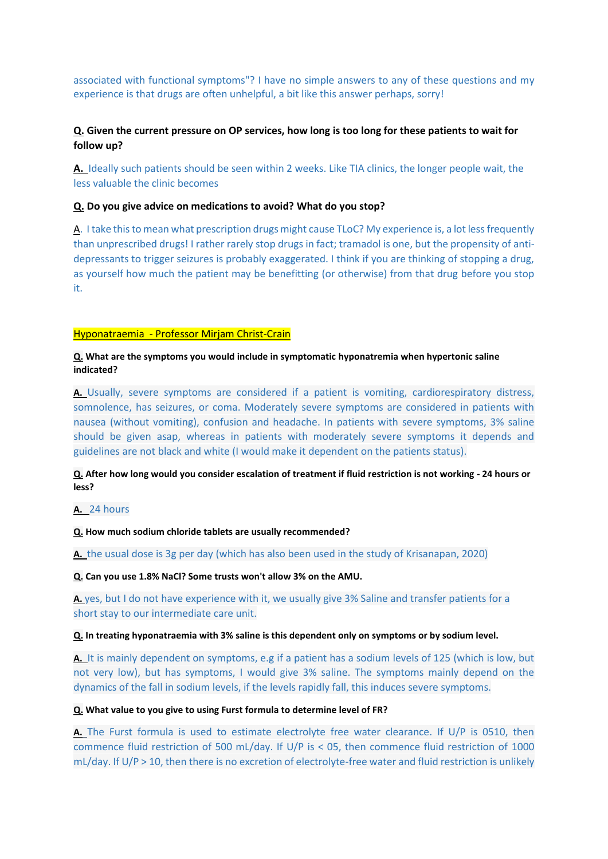associated with functional symptoms"? I have no simple answers to any of these questions and my experience is that drugs are often unhelpful, a bit like this answer perhaps, sorry!

# **Q. Given the current pressure on OP services, how long is too long for these patients to wait for follow up?**

**A.** Ideally such patients should be seen within 2 weeks. Like TIA clinics, the longer people wait, the less valuable the clinic becomes

### **Q. Do you give advice on medications to avoid? What do you stop?**

A. I take this to mean what prescription drugs might cause TLoC? My experience is, a lot less frequently than unprescribed drugs! I rather rarely stop drugs in fact; tramadol is one, but the propensity of antidepressants to trigger seizures is probably exaggerated. I think if you are thinking of stopping a drug, as yourself how much the patient may be benefitting (or otherwise) from that drug before you stop it.

### Hyponatraemia - Professor Mirjam Christ-Crain

### **Q. What are the symptoms you would include in symptomatic hyponatremia when hypertonic saline indicated?**

**A.** Usually, severe symptoms are considered if a patient is vomiting, cardiorespiratory distress, somnolence, has seizures, or coma. Moderately severe symptoms are considered in patients with nausea (without vomiting), confusion and headache. In patients with severe symptoms, 3% saline should be given asap, whereas in patients with moderately severe symptoms it depends and guidelines are not black and white (I would make it dependent on the patients status).

# **Q. After how long would you consider escalation of treatment if fluid restriction is not working - 24 hours or less?**

# **A.** 24 hours

#### **Q. How much sodium chloride tablets are usually recommended?**

**A.** the usual dose is 3g per day (which has also been used in the study of Krisanapan, 2020)

#### **Q. Can you use 1.8% NaCl? Some trusts won't allow 3% on the AMU.**

**A.** yes, but I do not have experience with it, we usually give 3% Saline and transfer patients for a short stay to our intermediate care unit.

#### **Q. In treating hyponatraemia with 3% saline is this dependent only on symptoms or by sodium level.**

**A.** It is mainly dependent on symptoms, e.g if a patient has a sodium levels of 125 (which is low, but not very low), but has symptoms, I would give 3% saline. The symptoms mainly depend on the dynamics of the fall in sodium levels, if the levels rapidly fall, this induces severe symptoms.

#### **Q. What value to you give to using Furst formula to determine level of FR?**

**A.** The Furst formula is used to estimate electrolyte free water clearance. If U/P is 0510, then commence fluid restriction of 500 mL/day. If U/P is < 05, then commence fluid restriction of 1000 mL/day. If U/P > 10, then there is no excretion of electrolyte-free water and fluid restriction is unlikely